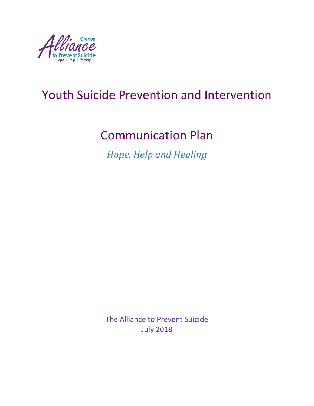

# Youth Suicide Prevention and Intervention

# Communication Plan

*Hope, Help and Healing*

The Alliance to Prevent Suicide July 2018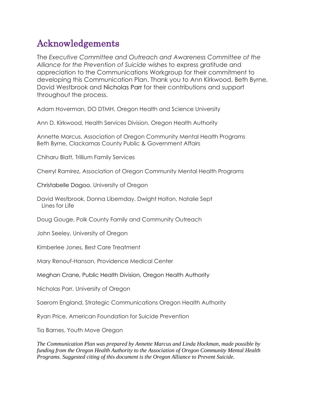### Acknowledgements

The *Executive Committee and Outreach and Awareness Committee of the Alliance for the Prevention of Suicide* wishes to express gratitude and appreciation to the Communications Workgroup for their commitment to developing this Communication Plan. Thank you to Ann Kirkwood, Beth Byrne, David Westbrook and Nicholas Parr for their contributions and support throughout the process.

Adam Hoverman, DO DTMH, Oregon Health and Science University

Ann D. Kirkwood, Health Services Division, Oregon Health Authority

Annette Marcus, Association of Oregon Community Mental Health Programs Beth Byrne, Clackamas County Public & Government Affairs

Chiharu Blatt, Trillium Family Services

Cherryl Ramirez, Association of Oregon Community Mental Health Programs

Christabelle Dagoo, University of Oregon

David Westbrook, Donna Libemday, Dwight Holton, Natalie Sept Lines for Life

Doug Gouge, Polk County Family and Community Outreach

John Seeley, University of Oregon

Kimberlee Jones, Best Care Treatment

Mary Renouf-Hanson, Providence Medical Center

Meghan Crane, Public Health Division, Oregon Health Authority

Nicholas Parr, University of Oregon

Saerom England, Strategic Communications Oregon Health Authority

Ryan Price, American Foundation for Suicide Prevention

Tia Barnes, Youth Move Oregon

*The Communication Plan was prepared by Annette Marcus and Linda Hockman, made possible by funding from the Oregon Health Authority to the Association of Oregon Community Mental Health Programs. Suggested citing of this document is the Oregon Alliance to Prevent Suicide.*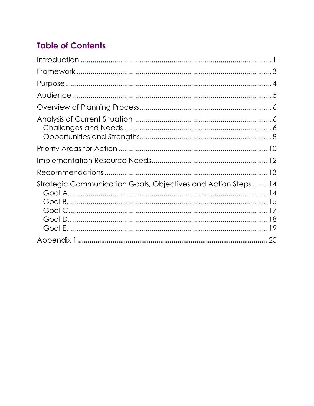### **Table of Contents**

| Strategic Communication Goals, Objectives and Action Steps 14 |  |
|---------------------------------------------------------------|--|
|                                                               |  |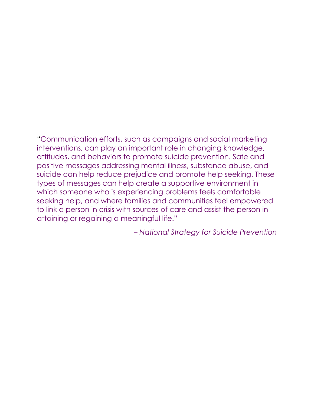"Communication efforts, such as campaigns and social marketing interventions, can play an important role in changing knowledge, attitudes, and behaviors to promote suicide prevention. Safe and positive messages addressing mental illness, substance abuse, and suicide can help reduce prejudice and promote help seeking. These types of messages can help create a supportive environment in which someone who is experiencing problems feels comfortable seeking help, and where families and communities feel empowered to link a person in crisis with sources of care and assist the person in attaining or regaining a meaningful life."

– *National Strategy for Suicide Prevention*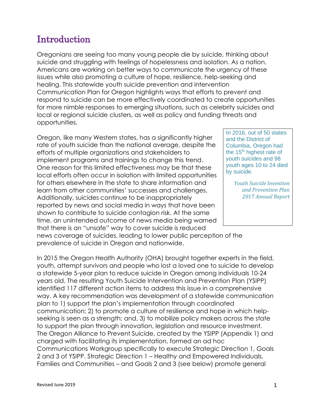#### Introduction

Oregonians are seeing too many young people die by suicide, thinking about suicide and struggling with feelings of hopelessness and isolation. As a nation, Americans are working on better ways to communicate the urgency of these issues while also promoting a culture of hope, resilience, help-seeking and healing. This statewide youth suicide prevention and intervention Communication Plan for Oregon highlights ways that efforts to prevent and respond to suicide can be more effectively coordinated to create opportunities for more nimble responses to emerging situations, such as celebrity suicides and local or regional suicide clusters, as well as policy and funding threats and opportunities.

Oregon, like many Western states, has a significantly higher rate of youth suicide than the national average, despite the efforts of multiple organizations and stakeholders to implement programs and trainings to change this trend. One reason for this limited effectiveness may be that these local efforts often occur in isolation with limited opportunities for others elsewhere in the state to share information and learn from other communities' successes and challenges. Additionally, suicides continue to be inappropriately reported by news and social media in ways that have been shown to contribute to suicide contagion risk. At the same time, an unintended outcome of news media being warned that there is an "unsafe" way to cover suicide is reduced news coverage of suicides, leading to lower public perception of the

prevalence of suicide in Oregon and nationwide.

In 2015 the Oregon Health Authority (OHA) brought together experts in the field, youth, attempt survivors and people who lost a loved one to suicide to develop a statewide 5-year plan to reduce suicide in Oregon among individuals 10-24 years old. The resulting Youth Suicide Intervention and Prevention Plan (YSIPP) identified 117 different action items to address this issue in a comprehensive way. A key recommendation was development of a statewide communication plan to 1) support the plan's implementation through coordinated communication; 2) to promote a culture of resilience and hope in which helpseeking is seen as a strength; and, 3) to mobilize policy makers across the state to support the plan through innovation, legislation and resource investment. The Oregon Alliance to Prevent Suicide, created by the YSIPP (Appendix 1) and charged with facilitating its implementation, formed an ad hoc Communications Workgroup specifically to execute Strategic Direction 1, Goals 2 and 3 of YSIPP. Strategic Direction 1 – Healthy and Empowered Individuals, Families and Communities – and Goals 2 and 3 (see below) promote general

In 2016, out of 50 states and the District of Columbia, Oregon had the 15<sup>th</sup> highest rate of youth suicides and 98 youth ages 10 to 24 died by suicide.

> *Youth Suicide Invention and Prevention Plan 2017 Annual Report*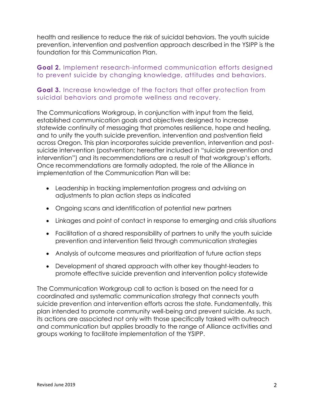health and resilience to reduce the risk of suicidal behaviors. The youth suicide prevention, intervention and postvention approach described in the YSIPP is the foundation for this Communication Plan.

#### **Goal 2.** Implement research-informed communication efforts designed to prevent suicide by changing knowledge, attitudes and behaviors.

#### **Goal 3.** Increase knowledge of the factors that offer protection from suicidal behaviors and promote wellness and recovery.

The Communications Workgroup, in conjunction with input from the field, established communication goals and objectives designed to increase statewide continuity of messaging that promotes resilience, hope and healing, and to unify the youth suicide prevention, intervention and postvention field across Oregon. This plan incorporates suicide prevention, intervention and postsuicide intervention (postvention; hereafter included in "suicide prevention and intervention") and its recommendations are a result of that workgroup's efforts. Once recommendations are formally adopted, the role of the Alliance in implementation of the Communication Plan will be:

- Leadership in tracking implementation progress and advising on adjustments to plan action steps as indicated
- Ongoing scans and identification of potential new partners
- Linkages and point of contact in response to emerging and crisis situations
- Facilitation of a shared responsibility of partners to unify the youth suicide prevention and intervention field through communication strategies
- Analysis of outcome measures and prioritization of future action steps
- Development of shared approach with other key thought-leaders to promote effective suicide prevention and intervention policy statewide

The Communication Workgroup call to action is based on the need for a coordinated and systematic communication strategy that connects youth suicide prevention and intervention efforts across the state. Fundamentally, this plan intended to promote community well-being and prevent suicide. As such, its actions are associated not only with those specifically tasked with outreach and communication but applies broadly to the range of Alliance activities and groups working to facilitate implementation of the YSIPP.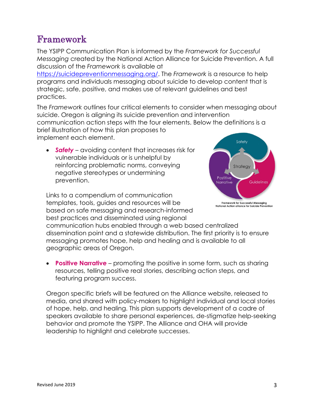### Framework

The YSIPP Communication Plan is informed by the *Framework for Successful Messaging* created by the National Action Alliance for Suicide Prevention. A full discussion of the *Framework* is available at

[https://suicidepreventionmessaging.org/.](https://suicidepreventionmessaging.org/) The *Framework* is a resource to help programs and individuals messaging about suicide to develop content that is strategic, safe, positive, and makes use of relevant guidelines and best practices.

The *Framework* outlines four critical elements to consider when messaging about suicide. Oregon is aligning its suicide prevention and intervention communication action steps with the four elements. Below the definitions is a brief illustration of how this plan proposes to implement each element.

• *Safety* – avoiding content that increases risk for vulnerable individuals or is unhelpful by reinforcing problematic norms, conveying negative stereotypes or undermining prevention.

Links to a compendium of communication templates, tools, guides and resources will be based on safe messaging and research-informed best practices and disseminated using regional

Framework for Successful Messaging<br>onal Action alliance for Suicide Preventi communication hubs enabled through a web based centralized dissemination point and a statewide distribution. The first priority is to ensure messaging promotes hope, help and healing and is available to all

geographic areas of Oregon.

• **Positive Narrative** – promoting the positive in some form, such as sharing resources, telling positive real stories, describing action steps, and featuring program success.

Oregon specific briefs will be featured on the Alliance website, released to media, and shared with policy-makers to highlight individual and local stories of hope, help, and healing. This plan supports development of a cadre of speakers available to share personal experiences, de-stigmatize help-seeking behavior and promote the YSIPP. The Alliance and OHA will provide leadership to highlight and celebrate successes.

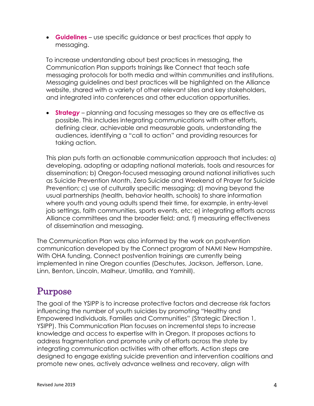• **Guidelines** – use specific guidance or best practices that apply to messaging.

To increase understanding about best practices in messaging, the Communication Plan supports trainings like Connect that teach safe messaging protocols for both media and within communities and institutions. Messaging guidelines and best practices will be highlighted on the Alliance website, shared with a variety of other relevant sites and key stakeholders, and integrated into conferences and other education opportunities.

• **Strateg***y* – planning and focusing messages so they are as effective as possible. This includes integrating communications with other efforts, defining clear, achievable and measurable goals, understanding the audiences, identifying a "call to action" and providing resources for taking action.

This plan puts forth an actionable communication approach that includes: a) developing, adopting or adapting national materials, tools and resources for dissemination; b) Oregon-focused messaging around national initiatives such as Suicide Prevention Month, Zero Suicide and Weekend of Prayer for Suicide Prevention; c) use of culturally specific messaging; d) moving beyond the usual partnerships (health, behavior health, schools) to share information where youth and young adults spend their time, for example, in entry-level job settings, faith communities, sports events, etc; e) integrating efforts across Alliance committees and the broader field; and, f) measuring effectiveness of dissemination and messaging.

The Communication Plan was also informed by the work on postvention communication developed by the Connect program of NAMI New Hampshire. With OHA funding, Connect postvention trainings are currently being implemented in nine Oregon counties (Deschutes, Jackson, Jefferson, Lane, Linn, Benton, Lincoln, Malheur, Umatilla, and Yamhill).

#### Purpose

The goal of the YSIPP is to increase protective factors and decrease risk factors influencing the number of youth suicides by promoting "Healthy and Empowered Individuals, Families and Communities" (Strategic Direction 1, YSIPP). This Communication Plan focuses on incremental steps to increase knowledge and access to expertise with in Oregon. It proposes actions to address fragmentation and promote unity of efforts across the state by integrating communication activities with other efforts. Action steps are designed to engage existing suicide prevention and intervention coalitions and promote new ones, actively advance wellness and recovery, align with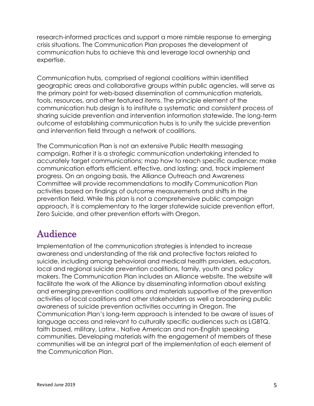research-informed practices and support a more nimble response to emerging crisis situations. The Communication Plan proposes the development of communication hubs to achieve this and leverage local ownership and expertise.

Communication hubs, comprised of regional coalitions within identified geographic areas and collaborative groups within public agencies, will serve as the primary point for web-based dissemination of communication materials, tools, resources, and other featured items. The principle element of the communication hub design is to institute a systematic and consistent process of sharing suicide prevention and intervention information statewide. The long-term outcome of establishing communication hubs is to unify the suicide prevention and intervention field through a network of coalitions.

The Communication Plan is not an extensive Public Health messaging campaign. Rather it is a strategic communication undertaking intended to accurately target communications; map how to reach specific audience; make communication efforts efficient, effective, and lasting; and, track implement progress. On an ongoing basis, the Alliance Outreach and Awareness Committee will provide recommendations to modify Communication Plan activities based on findings of outcome measurements and shifts in the prevention field. While this plan is not a comprehensive public campaign approach, it is complementary to the larger statewide suicide prevention effort, Zero Suicide, and other prevention efforts with Oregon.

## Audience

Implementation of the communication strategies is intended to increase awareness and understanding of the risk and protective factors related to suicide, including among behavioral and medical health providers, educators, local and regional suicide prevention coalitions, family, youth and policy makers. The Communication Plan includes an Alliance website. The website will facilitate the work of the Alliance by disseminating information about existing and emerging prevention coalitions and materials supportive of the prevention activities of local coalitions and other stakeholders as well a broadening public awareness of suicide prevention activities occurring in Oregon. The Communication Plan's long-term approach is intended to be aware of issues of language access and relevant to culturally specific audiences such as LGBTQ, faith based, military, Latinx , Native American and non-English speaking communities. Developing materials with the engagement of members of these communities will be an integral part of the implementation of each element of the Communication Plan.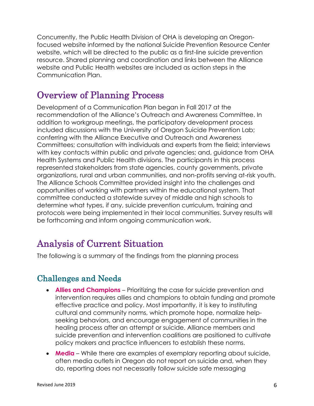Concurrently, the Public Health Division of OHA is developing an Oregonfocused website informed by the national Suicide Prevention Resource Center website, which will be directed to the public as a first-line suicide prevention resource. Shared planning and coordination and links between the Alliance website and Public Health websites are included as action steps in the Communication Plan.

#### Overview of Planning Process

Development of a Communication Plan began in Fall 2017 at the recommendation of the Alliance's Outreach and Awareness Committee. In addition to workgroup meetings, the participatory development process included discussions with the University of Oregon Suicide Prevention Lab; conferring with the Alliance Executive and Outreach and Awareness Committees; consultation with individuals and experts from the field; interviews with key contacts within public and private agencies; and, guidance from OHA Health Systems and Public Health divisions. The participants in this process represented stakeholders from state agencies, county governments, private organizations, rural and urban communities, and non-profits serving at-risk youth. The Alliance Schools Committee provided insight into the challenges and opportunities of working with partners within the educational system. That committee conducted a statewide survey of middle and high schools to determine what types, if any, suicide prevention curriculum, training and protocols were being implemented in their local communities. Survey results will be forthcoming and inform ongoing communication work.

## Analysis of Current Situation

The following is a summary of the findings from the planning process

#### Challenges and Needs

- **Allies and Champions** Prioritizing the case for suicide prevention and intervention requires allies and champions to obtain funding and promote effective practice and policy. Most importantly, it is key to instituting cultural and community norms, which promote hope, normalize helpseeking behaviors, and encourage engagement of communities in the healing process after an attempt or suicide. Alliance members and suicide prevention and intervention coalitions are positioned to cultivate policy makers and practice influencers to establish these norms.
- **Media** While there are examples of exemplary reporting about suicide, often media outlets in Oregon do not report on suicide and, when they do, reporting does not necessarily follow suicide safe messaging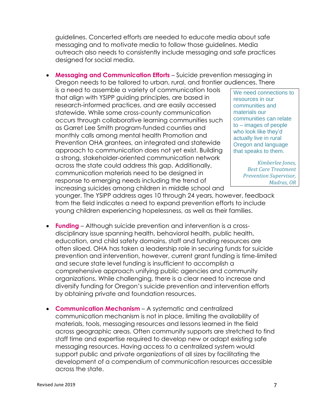guidelines. Concerted efforts are needed to educate media about safe messaging and to motivate media to follow those guidelines. Media outreach also needs to consistently include messaging and safe practices designed for social media.

• **Messaging and Communication Efforts** – Suicide prevention messaging in Oregon needs to be tailored to urban, rural, and frontier audiences. There

is a need to assemble a variety of communication tools that align with YSIPP guiding principles, are based in research-informed practices, and are easily accessed statewide. While some cross-county communication occurs through collaborative learning communities such as Garret Lee Smith program-funded counties and monthly calls among mental health Promotion and Prevention OHA grantees, an integrated and statewide approach to communication does not yet exist. Building a strong, stakeholder-oriented communication network across the state could address this gap. Additionally, communication materials need to be designed in response to emerging needs including the trend of increasing suicides among children in middle school and

We need connections to resources in our communities and materials our communities can relate to – images of people who look like they'd actually live in rural Oregon and language that speaks to them.

> *Kimberlee Jones, Best Care Treatment Prevention Supervisor, Madras, OR*

younger. The YSIPP address ages 10 through 24 years, however, feedback from the field indicates a need to expand prevention efforts to include young children experiencing hopelessness, as well as their families.

- **Funding**  Although suicide prevention and intervention is a crossdisciplinary issue spanning health, behavioral health, public health, education, and child safety domains, staff and funding resources are often siloed. OHA has taken a leadership role in securing funds for suicide prevention and intervention, however, current grant funding is time-limited and secure state level funding is insufficient to accomplish a comprehensive approach unifying public agencies and community organizations. While challenging, there is a clear need to increase and diversify funding for Oregon's suicide prevention and intervention efforts by obtaining private and foundation resources.
- **Communication Mechanism** A systematic and centralized communication mechanism is not in place, limiting the availability of materials, tools, messaging resources and lessons learned in the field across geographic areas. Often community supports are stretched to find staff time and expertise required to develop new or adapt existing safe messaging resources. Having access to a centralized system would support public and private organizations of all sizes by facilitating the development of a compendium of communication resources accessible across the state.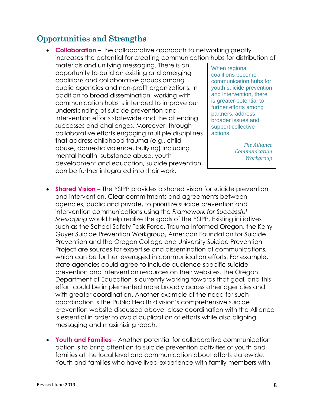#### Opportunities and Strengths

- **Collaboration** The collaborative approach to networking greatly increases the potential for creating communication hubs for distribution of materials and unifying messaging. There is an opportunity to build on existing and emerging coalitions and collaborative groups among public agencies and non-profit organizations. In addition to broad dissemination, working with communication hubs is intended to improve our understanding of suicide prevention and intervention efforts statewide and the attending successes and challenges. Moreover, through collaborative efforts engaging multiple disciplines that address childhood trauma (e.g., child abuse, domestic violence, bullying) including mental health, substance abuse, youth development and education, suicide prevention can be further integrated into their work. When regional coalitions become communication hubs for youth suicide prevention and intervention, there is greater potential to further efforts among partners, address broader issues and support collective actions. *The Alliance Communication Workgroup*
- **Shared Vision** The YSIPP provides a shared vision for suicide prevention and intervention. Clear commitments and agreements between agencies, public and private, to prioritize suicide prevention and intervention communications using the *Framework for Successful Messaging* would help realize the goals of the YSIPP. Existing initiatives such as the School Safety Task Force, Trauma Informed Oregon, the Keny-Guyer Suicide Prevention Workgroup, American Foundation for Suicide Prevention and the Oregon College and University Suicide Prevention Project are sources for expertise and dissemination of communications, which can be further leveraged in communication efforts. For example, state agencies could agree to include audience-specific suicide prevention and intervention resources on their websites. The Oregon Department of Education is currently working towards that goal, and this effort could be implemented more broadly across other agencies and with greater coordination. Another example of the need for such coordination is the Public Health division's comprehensive suicide prevention website discussed above; close coordination with the Alliance is essential in order to avoid duplication of efforts while also aligning messaging and maximizing reach.
- **Youth and Families**  Another potential for collaborative communication action is to bring attention to suicide prevention activities of youth and families at the local level and communication about efforts statewide. Youth and families who have lived experience with family members with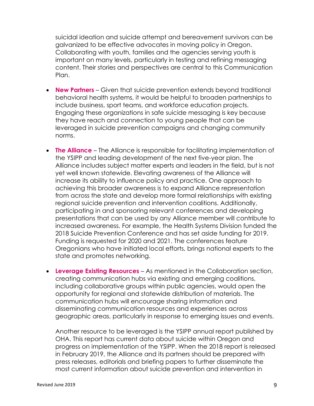suicidal ideation and suicide attempt and bereavement survivors can be galvanized to be effective advocates in moving policy in Oregon. Collaborating with youth, families and the agencies serving youth is important on many levels, particularly in testing and refining messaging content. Their stories and perspectives are central to this Communication Plan.

- **New Partners** Given that suicide prevention extends beyond traditional behavioral health systems, it would be helpful to broaden partnerships to include business, sport teams, and workforce education projects. Engaging these organizations in safe suicide messaging is key because they have reach and connection to young people that can be leveraged in suicide prevention campaigns and changing community norms.
- **The Alliance** The Alliance is responsible for facilitating implementation of the YSIPP and leading development of the next five-year plan. The Alliance includes subject matter experts and leaders in the field, but is not yet well known statewide. Elevating awareness of the Alliance will increase its ability to influence policy and practice. One approach to achieving this broader awareness is to expand Alliance representation from across the state and develop more formal relationships with existing regional suicide prevention and intervention coalitions. Additionally, participating in and sponsoring relevant conferences and developing presentations that can be used by any Alliance member will contribute to increased awareness. For example, the Health Systems Division funded the 2018 Suicide Prevention Conference and has set aside funding for 2019. Funding is requested for 2020 and 2021. The conferences feature Oregonians who have initiated local efforts, brings national experts to the state and promotes networking.
- **Leverage Existing Resources** As mentioned in the Collaboration section, creating communication hubs via existing and emerging coalitions, including collaborative groups within public agencies, would open the opportunity for regional and statewide distribution of materials. The communication hubs will encourage sharing information and disseminating communication resources and experiences across geographic areas, particularly in response to emerging issues and events.

Another resource to be leveraged is the YSIPP annual report published by OHA. This report has current data about suicide within Oregon and progress on implementation of the YSIPP. When the 2018 report is released in February 2019, the Alliance and its partners should be prepared with press releases, editorials and briefing papers to further disseminate the most current information about suicide prevention and intervention in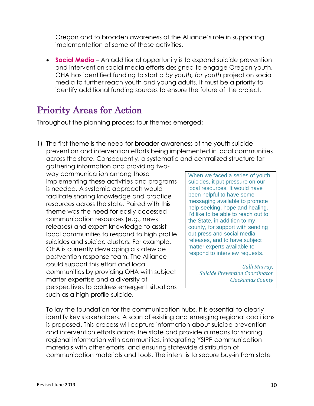Oregon and to broaden awareness of the Alliance's role in supporting implementation of some of those activities.

• **Social Media** – An additional opportunity is to expand suicide prevention and intervention social media efforts designed to engage Oregon youth. OHA has identified funding to start a *by youth, for youth* project on social media to further reach youth and young adults. It must be a priority to identify additional funding sources to ensure the future of the project.

## Priority Areas for Action

Throughout the planning process four themes emerged:

1) The first theme is the need for broader awareness of the youth suicide prevention and intervention efforts being implemented in local communities across the state. Consequently, a systematic and centralized structure for gathering information and providing two-

way communication among those implementing these activities and programs is needed. A systemic approach would facilitate sharing knowledge and practice resources across the state. Paired with this theme was the need for easily accessed communication resources (e.g., news releases) and expert knowledge to assist local communities to respond to high profile suicides and suicide clusters. For example, OHA is currently developing a statewide postvention response team. The Alliance could support this effort and local communities by providing OHA with subject matter expertise and a diversity of perspectives to address emergent situations such as a high-profile suicide.

When we faced a series of youth suicides, it put pressure on our local resources. It would have been helpful to have some messaging available to promote help-seeking, hope and healing. I'd like to be able to reach out to the State, in addition to my county, for support with sending out press and social media releases, and to have subject matter experts available to respond to interview requests.

> *Galli Murray, Suicide Prevention Coordinator Clackamas County*

To lay the foundation for the communication hubs, it is essential to clearly identify key stakeholders. A scan of existing and emerging regional coalitions is proposed. This process will capture information about suicide prevention and intervention efforts across the state and provide a means for sharing regional information with communities, integrating YSIPP communication materials with other efforts, and ensuring statewide distribution of communication materials and tools. The intent is to secure buy-in from state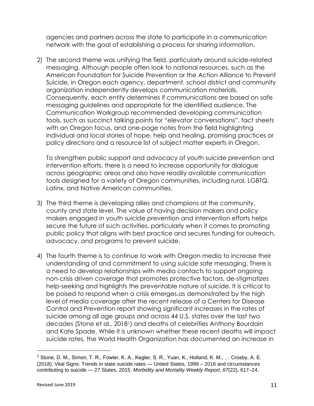agencies and partners across the state to participate in a communication network with the goal of establishing a process for sharing information.

2) The second theme was unifying the field, particularly around suicide-related messaging. Although people often look to national resources, such as the American Foundation for Suicide Prevention or the Action Alliance to Prevent Suicide, in Oregon each agency, department, school district and community organization independently develops communication materials. Consequently, each entity determines if communications are based on safe messaging guidelines and appropriate for the identified audience. The Communication Workgroup recommended developing communication tools, such as succinct talking points for "elevator conversations", fact sheets with an Oregon focus, and one-page notes from the field highlighting individual and local stories of hope, help and healing, promising practices or policy directions and a resource list of subject matter experts in Oregon.

To strengthen public support and advocacy of youth suicide prevention and intervention efforts, there is a need to increase opportunity for dialogue across geographic areas and also have readily available communication tools designed for a variety of Oregon communities, including rural, LGBTQ, Latinx, and Native American communities.

- 3) The third theme is developing allies and champions at the community, county and state level. The value of having decision makers and policy makers engaged in youth suicide prevention and intervention efforts helps secure the future of such activities, particularly when it comes to promoting public policy that aligns with best practice and secures funding for outreach, advocacy, and programs to prevent suicide.
- 4) The fourth theme is to continue to work with Oregon media to increase their understanding of and commitment to using suicide safe messaging. There is a need to develop relationships with media contacts to support ongoing non-crisis driven coverage that promotes protective factors, de-stigmatizes help-seeking and highlights the preventable nature of suicide. It is critical to be poised to respond when a crisis emerges.as demonstrated by the high level of media coverage after the recent release of a Centers for Disease Control and Prevention report showing significant increases in the rates of suicide among all age groups and across 44 U.S. states over the last two decades (Stone et al., 20181) and deaths of celebrities Anthony Bourdain and Kate Spade. While it is unknown whether these recent deaths will impact suicide rates, the World Health Organization has documented an increase in

 $1$  Stone, D. M., Simon, T. R., Fowler, K. A., Kegler, S. R., Yuan, K., Holland, K. M., ... Crosby, A. E. (2018). Vital Signs: Trends in state suicide rates — United States, 1999 – 2016 and circumstances contributing to suicide — 27 States, 2015. *Morbidity and Mortality Weekly Report*, *67*(22), 617–24.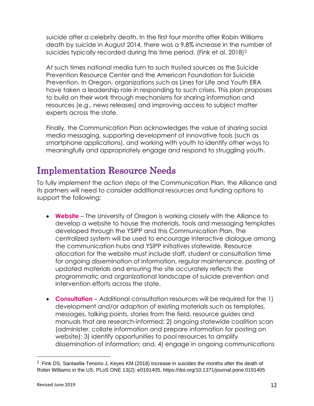suicide after a celebrity death. In the first four months after Robin Williams death by suicide in August 2014, there was a 9.8% increase in the number of suicides typically recorded during this time period. (Fink et al. 2018)<sup>2</sup>

At such times national media turn to such trusted sources as the Suicide Prevention Resource Center and the American Foundation for Suicide Prevention. In Oregon, organizations such as Lines for Life and Youth ERA have taken a leadership role in responding to such crises. This plan proposes to build on their work through mechanisms for sharing information and resources (e.g., news releases) and improving access to subject matter experts across the state.

Finally, the Communication Plan acknowledges the value of sharing social media messaging, supporting development of innovative tools (such as smartphone applications), and working with youth to identify other ways to meaningfully and appropriately engage and respond to struggling youth.

#### Implementation Resource Needs

To fully implement the action steps of the Communication Plan, the Alliance and its partners will need to consider additional resources and funding options to support the following:

- **Website** The University of Oregon is working closely with the Alliance to develop a website to house the materials, tools and messaging templates developed through the YSIPP and this Communication Plan. The centralized system will be used to encourage interactive dialogue among the communication hubs and YSIPP initiatives statewide. Resource allocation for the website must include staff, student or consultation time for ongoing dissemination of information, regular maintenance, posting of updated materials and ensuring the site accurately reflects the programmatic and organizational landscape of suicide prevention and intervention efforts across the state.
- **Consultation** Additional consultation resources will be required for the 1) development and/or adaption of existing materials such as templates, messages, talking points, stories from the field, resource guides and manuals that are research-informed; 2) ongoing statewide coalition scan (administer, collate information and prepare information for posting on website); 3) identify opportunities to pool resources to amplify dissemination of information; and, 4) engage in ongoing communications

 $2$  Fink DS, Santaella-Tenorio J, Keyes KM (2018) Increase in suicides the months after the death of Robin Williams in the US. PLoS ONE 13(2): e0191405. https://doi.org/10.1371/journal.pone.0191405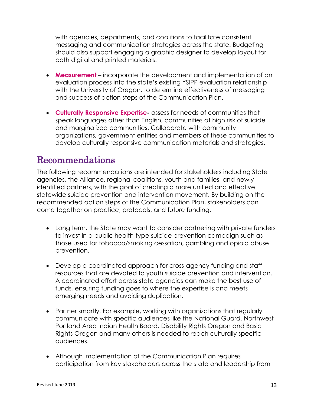with agencies, departments, and coalitions to facilitate consistent messaging and communication strategies across the state. Budgeting should also support engaging a graphic designer to develop layout for both digital and printed materials.

- **Measurement** incorporate the development and implementation of an evaluation process into the state's existing YSIPP evaluation relationship with the University of Oregon, to determine effectiveness of messaging and success of action steps of the Communication Plan.
- **Culturally Responsive Expertise-** assess for needs of communities that speak languages other than English, communities at high risk of suicide and marginalized communities. Collaborate with community organizations, government entities and members of these communities to develop culturally responsive communication materials and strategies.

#### Recommendations

The following recommendations are intended for stakeholders including State agencies, the Alliance, regional coalitions, youth and families, and newly identified partners, with the goal of creating a more unified and effective statewide suicide prevention and intervention movement. By building on the recommended action steps of the Communication Plan, stakeholders can come together on practice, protocols, and future funding.

- Long term, the State may want to consider partnering with private funders to invest in a public health-type suicide prevention campaign such as those used for tobacco/smoking cessation, gambling and opioid abuse prevention.
- Develop a coordinated approach for cross-agency funding and staff resources that are devoted to youth suicide prevention and intervention. A coordinated effort across state agencies can make the best use of funds, ensuring funding goes to where the expertise is and meets emerging needs and avoiding duplication.
- Partner smartly. For example, working with organizations that regularly communicate with specific audiences like the National Guard, Northwest Portland Area Indian Health Board, Disability Rights Oregon and Basic Rights Oregon and many others is needed to reach culturally specific audiences.
- Although implementation of the Communication Plan requires participation from key stakeholders across the state and leadership from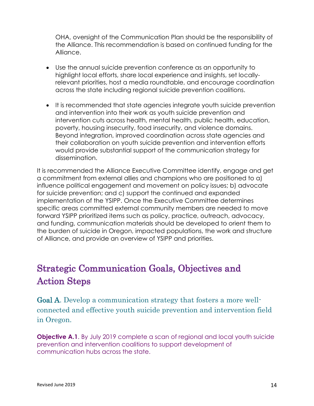OHA, oversight of the Communication Plan should be the responsibility of the Alliance. This recommendation is based on continued funding for the Alliance.

- Use the annual suicide prevention conference as an opportunity to highlight local efforts, share local experience and insights, set locallyrelevant priorities, host a media roundtable, and encourage coordination across the state including regional suicide prevention coalitions.
- It is recommended that state agencies integrate youth suicide prevention and intervention into their work as youth suicide prevention and intervention cuts across health, mental health, public health, education, poverty, housing insecurity, food insecurity, and violence domains. Beyond integration, improved coordination across state agencies and their collaboration on youth suicide prevention and intervention efforts would provide substantial support of the communication strategy for dissemination.

It is recommended the Alliance Executive Committee identify, engage and get a commitment from external allies and champions who are positioned to a) influence political engagement and movement on policy issues; b) advocate for suicide prevention; and c) support the continued and expanded implementation of the YSIPP. Once the Executive Committee determines specific areas committed external community members are needed to move forward YSIPP prioritized items such as policy, practice, outreach, advocacy, and funding, communication materials should be developed to orient them to the burden of suicide in Oregon, impacted populations, the work and structure of Alliance, and provide an overview of YSIPP and priorities.

# Strategic Communication Goals, Objectives and Action Steps

Goal A. Develop a communication strategy that fosters a more wellconnected and effective youth suicide prevention and intervention field in Oregon.

**Objective A.1.** By July 2019 complete a scan of regional and local youth suicide prevention and intervention coalitions to support development of communication hubs across the state.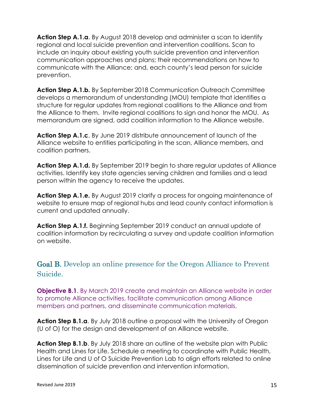**Action Step A.1.a**. By August 2018 develop and administer a scan to identify regional and local suicide prevention and intervention coalitions. Scan to include an inquiry about existing youth suicide prevention and intervention communication approaches and plans; their recommendations on how to communicate with the Alliance; and, each county's lead person for suicide prevention.

**Action Step A.1.b.** By September 2018 Communication Outreach Committee develops a memorandum of understanding (MOU) template that identifies a structure for regular updates from regional coalitions to the Alliance and from the Alliance to them. Invite regional coalitions to sign and honor the MOU. As memorandum are signed, add coalition information to the Alliance website.

**Action Step A.1.c**. By June 2019 distribute announcement of launch of the Alliance website to entities participating in the scan, Alliance members, and coalition partners.

**Action Step A.1.d.** By September 2019 begin to share regular updates of Alliance activities. Identify key state agencies serving children and families and a lead person within the agency to receive the updates.

**Action Step A.1.e.** By August 2019 clarify a process for ongoing maintenance of website to ensure map of regional hubs and lead county contact information is current and updated annually.

**Action Step A.1.f.** Beginning September 2019 conduct an annual update of coalition information by recirculating a survey and update coalition information on website.

Goal B. Develop an online presence for the Oregon Alliance to Prevent Suicide.

**Objective B.1.** By March 2019 create and maintain an Alliance website in order to promote Alliance activities, facilitate communication among Alliance members and partners, and disseminate communication materials.

**Action Step B.1.a**. By July 2018 outline a proposal with the University of Oregon (U of O) for the design and development of an Alliance website.

**Action Step B.1.b.** By July 2018 share an outline of the website plan with Public Health and Lines for Life. Schedule a meeting to coordinate with Public Health, Lines for Life and U of O Suicide Prevention Lab to align efforts related to online dissemination of suicide prevention and intervention information.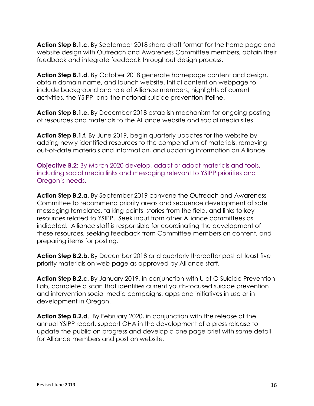**Action Step B.1.c**. By September 2018 share draft format for the home page and website design with Outreach and Awareness Committee members, obtain their feedback and integrate feedback throughout design process.

**Action Step B.1.d**. By October 2018 generate homepage content and design, obtain domain name, and launch website. Initial content on webpage to include background and role of Alliance members, highlights of current activities, the YSIPP, and the national suicide prevention lifeline.

**Action Step B.1.e.** By December 2018 establish mechanism for ongoing posting of resources and materials to the Alliance website and social media sites.

**Action Step B.1.f.** By June 2019, begin quarterly updates for the website by adding newly identified resources to the compendium of materials, removing out-of-date materials and information, and updating information on Alliance.

**Objective B.2:** By March 2020 develop, adapt or adopt materials and tools, including social media links and messaging relevant to YSIPP priorities and Oregon's needs.

**Action Step B.2.a**. By September 2019 convene the Outreach and Awareness Committee to recommend priority areas and sequence development of safe messaging templates, talking points, stories from the field, and links to key resources related to YSIPP. Seek input from other Alliance committees as indicated. Alliance staff is responsible for coordinating the development of these resources, seeking feedback from Committee members on content, and preparing items for posting.

**Action Step B.2**.**b.** By December 2018 and quarterly thereafter post at least five priority materials on web-page as approved by Alliance staff.

**Action Step B.2.c.** By January 2019, in conjunction with U of O Suicide Prevention Lab, complete a scan that identifies current youth-focused suicide prevention and intervention social media campaigns, apps and initiatives in use or in development in Oregon.

**Action Step B.2.d**. By February 2020, in conjunction with the release of the annual YSIPP report, support OHA in the development of a press release to update the public on progress and develop a one page brief with same detail for Alliance members and post on website.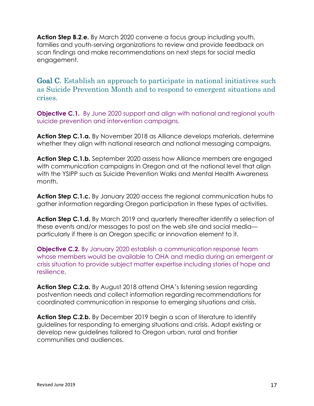**Action Step B.2**.**e.** By March 2020 convene a focus group including youth, families and youth-serving organizations to review and provide feedback on scan findings and make recommendations on next steps for social media engagement.

Goal C. Establish an approach to participate in national initiatives such as Suicide Prevention Month and to respond to emergent situations and crises.

**Objective C.1.** By June 2020 support and align with national and regional youth suicide prevention and intervention campaigns.

**Action Step C.1.a.** By November 2018 as Alliance develops materials, determine whether they align with national research and national messaging campaigns.

**Action Step C.1.b.** September 2020 assess how Alliance members are engaged with communication campaigns in Oregon and at the national level that align with the YSIPP such as Suicide Prevention Walks and Mental Health Awareness month.

**Action Step C.1.c.** By January 2020 access the regional communication hubs to gather information regarding Oregon participation in these types of activities.

**Action Step C.1.d.** By March 2019 and quarterly thereafter identify a selection of these events and/or messages to post on the web site and social media particularly if there is an Oregon specific or innovation element to it.

**Objective C.2.** By January 2020 establish a communication response team whose members would be available to OHA and media during an emergent or crisis situation to provide subject matter expertise including stories of hope and resilience,

**Action Step C.2.a.** By August 2018 attend OHA's listening session regarding postvention needs and collect information regarding recommendations for coordinated communication in response to emerging situations and crisis.

**Action Step C.2.b.** By December 2019 begin a scan of literature to identify guidelines for responding to emerging situations and crisis. Adapt existing or develop new guidelines tailored to Oregon urban, rural and frontier communities and audiences.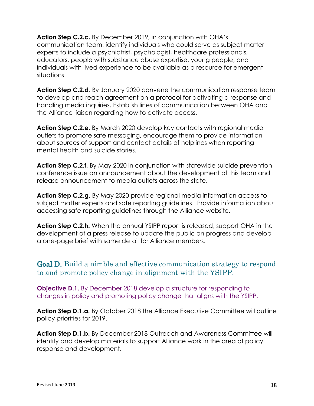**Action Step C.2.c.** By December 2019, in conjunction with OHA's communication team, identify individuals who could serve as subject matter experts to include a psychiatrist, psychologist, healthcare professionals, educators, people with substance abuse expertise, young people, and individuals with lived experience to be available as a resource for emergent situations.

**Action Step C.2.d**. By January 2020 convene the communication response team to develop and reach agreement on a protocol for activating a response and handling media inquiries. Establish lines of communication between OHA and the Alliance liaison regarding how to activate access.

**Action Step C.2.e.** By March 2020 develop key contacts with regional media outlets to promote safe messaging, encourage them to provide information about sources of support and contact details of helplines when reporting mental health and suicide stories.

**Action Step C.2.f.** By May 2020 in conjunction with statewide suicide prevention conference issue an announcement about the development of this team and release announcement to media outlets across the state.

**Action Step C.2.g**. By May 2020 provide regional media information access to subject matter experts and safe reporting guidelines. Provide information about accessing safe reporting guidelines through the Alliance website.

**Action Step C.2.h.** When the annual YSIPP report is released, support OHA in the development of a press release to update the public on progress and develop a one-page brief with same detail for Alliance members.

Goal D. Build a nimble and effective communication strategy to respond to and promote policy change in alignment with the YSIPP.

**Objective D.1.** By December 2018 develop a structure for responding to changes in policy and promoting policy change that aligns with the YSIPP.

**Action Step D.1.a.** By October 2018 the Alliance Executive Committee will outline policy priorities for 2019.

**Action Step D.1.b.** By December 2018 Outreach and Awareness Committee will identify and develop materials to support Alliance work in the area of policy response and development.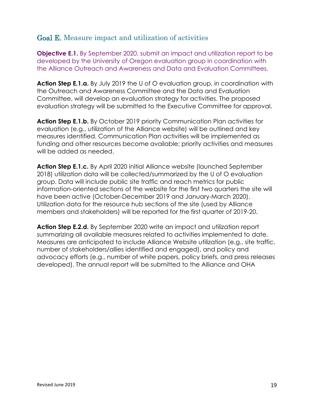#### Goal E. Measure impact and utilization of activities

**Objective E.1.** By September 2020, submit an impact and utilization report to be developed by the University of Oregon evaluation group in coordination with the Alliance Outreach and Awareness and Data and Evaluation Committees.

**Action Step E.1.a.** By July 2019 the U of O evaluation group, in coordination with the Outreach and Awareness Committee and the Data and Evaluation Committee, will develop an evaluation strategy for activities. The proposed evaluation strategy will be submitted to the Executive Committee for approval.

**Action Step E.1.b.** By October 2019 priority Communication Plan activities for evaluation (e.g., utilization of the Alliance website) will be outlined and key measures identified. Communication Plan activities will be implemented as funding and other resources become available; priority activities and measures will be added as needed.

**Action Step E.1.c.** By April 2020 initial Alliance website (launched September 2018) utilization data will be collected/summarized by the U of O evaluation group. Data will include public site traffic and reach metrics for public information-oriented sections of the website for the first two quarters the site will have been active (October-December 2019 and January-March 2020). Utilization data for the resource hub sections of the site (used by Alliance members and stakeholders) will be reported for the first quarter of 2019-20.

**Action Step E.2.d.** By September 2020 write an impact and utilization report summarizing all available measures related to activities implemented to date. Measures are anticipated to include Alliance Website utilization (e.g., site traffic, number of stakeholders/allies identified and engaged), and policy and advocacy efforts (e.g., number of white papers, policy briefs, and press releases developed). The annual report will be submitted to the Alliance and OHA